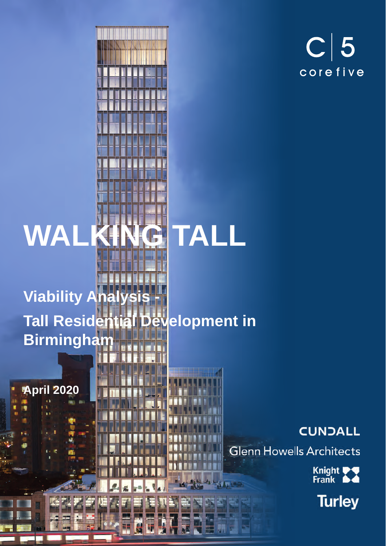

# **WALKING TALL**



 $-44$ 

### **Viability Analysis Tall Residential Development in Birmingham**

Ŧ

**April 2020**

### **CUNDALL**

**Glenn Howells Architects** 

Knight<br>Frank

**Turley**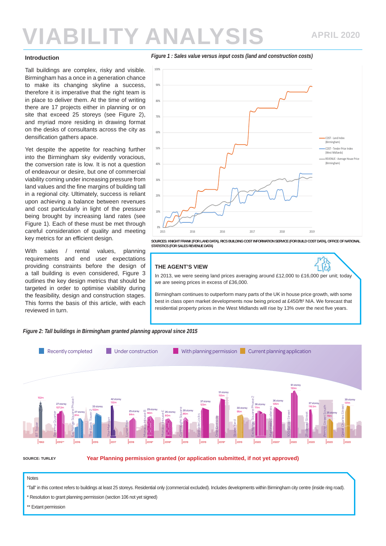#### **Introduction**

Tall buildings are complex, risky and visible. Birmingham has a once in a generation chance to make its changing skyline a success, therefore it is imperative that the right team is in place to deliver them. At the time of writing there are 17 projects either in planning or on site that exceed 25 storeys (see Figure 2), and myriad more residing in drawing format on the desks of consultants across the city as densification gathers apace.

Yet despite the appetite for reaching further into the Birmingham sky evidently voracious, the conversion rate is low. It is not a question of endeavour or desire, but one of commercial viability coming under increasing pressure from land values and the fine margins of building tall in a regional city. Ultimately, success is reliant upon achieving a balance between revenues and cost particularly in light of the pressure being brought by increasing land rates (see Figure 1). Each of these must be met through careful consideration of quality and meeting key metrics for an efficient design.

With sales / rental values, planning requirements and end user expectations providing constraints before the design of a tall building is even considered, Figure 3 outlines the key design metrics that should be targeted in order to optimise viability during the feasibility, design and construction stages. This forms the basis of this article, with each reviewed in turn.



*Figure 1 : Sales value versus input costs (land and construction costs)*

**SOURCES: KNIGHT FRANK (FOR LAND DATA), RICS BUILDING COST INFORMATION SERVICE (FOR BUILD COST DATA), OFFICE OF NATIONAL STATISTICS (FOR SALES REVENUE DATA)**

2015 2016 2016 2017 2018 2019

#### **THE AGENT'S VIEW**

0%

In 2013, we were seeing land prices averaging around £12,000 to £16,000 per unit; today we are seeing prices in excess of £36,000.

Birmingham continues to outperform many parts of the UK in house price growth, with some best in class open market developments now being priced at £450/ft² NIA. We forecast that residential property prices in the West Midlands will rise by 13% over the next five years.



*Figure 2: Tall buildings in Birmingham granted planning approval since 2015*

**SOURCE: TURLEY**

**Year Planning permission granted (or application submitted, if not yet approved)**

### Notes

"Tall" in this context refers to buildings at least 25 storeys. Residential only (commercial excluded). Includes developments within Birmingham city centre (inside ring road).

\* Resolution to grant planning permission (section 106 not yet signed)

\*\* Extant permission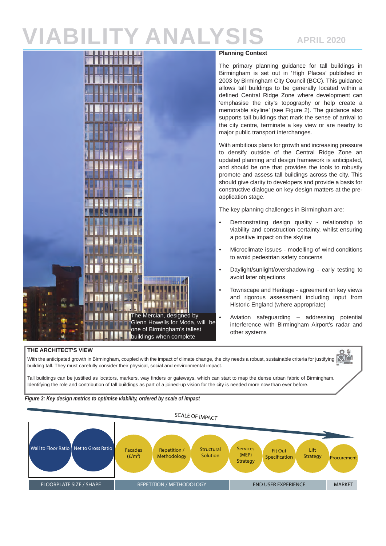### **APRIL 2020**



### **Planning Context**

The primary planning guidance for tall buildings in Birmingham is set out in 'High Places' published in 2003 by Birmingham City Council (BCC). This guidance allows tall buildings to be generally located within a defined Central Ridge Zone where development can 'emphasise the city's topography or help create a memorable skyline' (see Figure 2). The guidance also supports tall buildings that mark the sense of arrival to the city centre, terminate a key view or are nearby to major public transport interchanges.

With ambitious plans for growth and increasing pressure to densify outside of the Central Ridge Zone an updated planning and design framework is anticipated, and should be one that provides the tools to robustly promote and assess tall buildings across the city. This should give clarity to developers and provide a basis for constructive dialogue on key design matters at the preapplication stage.

The key planning challenges in Birmingham are:

- Demonstrating design quality relationship to viability and construction certainty, whilst ensuring a positive impact on the skyline
- Microclimate issues modelling of wind conditions to avoid pedestrian safety concerns
- Daylight/sunlight/overshadowing early testing to avoid later objections
- Townscape and Heritage agreement on key views and rigorous assessment including input from Historic England (where appropriate)
- Aviation safeguarding addressing potential interference with Birmingham Airport's radar and other systems

### **THE ARCHITECT'S VIEW**

With the anticipated growth in Birmingham, coupled with the impact of climate change, the city needs a robust, sustainable criteria for justifying  $\mathbb{Q}^{\mathbb{M}}$ building tall. They must carefully consider their physical, social and environmental impact.

Tall buildings can be justified as locators, markers, way finders or gateways, which can start to map the dense urban fabric of Birmingham. Identifying the role and contribution of tall buildings as part of a joined-up vision for the city is needed more now than ever before.



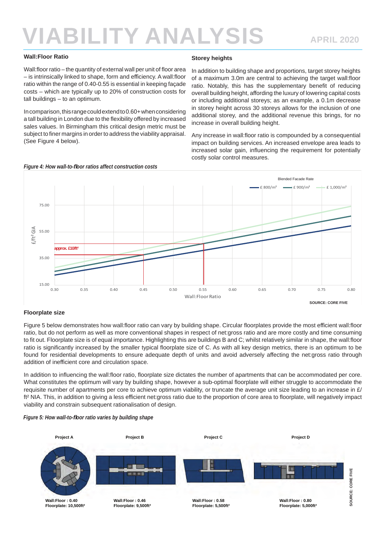### **Wall:Floor Ratio**

Wall:floor ratio – the quantity of external wall per unit of floor area – is intrinsically linked to shape, form and efficiency. A wall: floor ratio within the range of 0.40-0.55 is essential in keeping façade costs – which are typically up to 20% of construction costs for tall buildings – to an optimum.

In comparison, this range could extend to 0.60+ when considering a tall building in London due to the flexibility offered by increased sales values. In Birmingham this critical design metric must be subject to finer margins in order to address the viability appraisal. (See Figure 4 below).

### **Storey heights**

In addition to building shape and proportions, target storey heights of a maximum 3.0m are central to achieving the target wall:floor ratio. Notably, this has the supplementary benefit of reducing overall building height, affording the luxury of lowering capital costs or including additional storeys; as an example, a 0.1m decrease in storey height across 30 storeys allows for the inclusion of one additional storey, and the additional revenue this brings, for no increase in overall building height.

Any increase in wall: floor ratio is compounded by a consequential impact on building services. An increased envelope area leads to increased solar gain, influencing the requirement for potentially costly solar control measures.



### **Floorplate size**

Figure 5 below demonstrates how wall:floor ratio can vary by building shape. Circular floorplates provide the most efficient wall:floor ratio, but do not perform as well as more conventional shapes in respect of net:gross ratio and are more costly and time consuming to fit out. Floorplate size is of equal importance. Highlighting this are buildings B and C; whilst relatively similar in shape, the wall:floor ratio is significantly increased by the smaller typical floorplate size of C. As with all key design metrics, there is an optimum to be found for residential developments to ensure adequate depth of units and avoid adversely affecting the net:gross ratio through addition of inefficient core and circulation space.

In addition to influencing the wall:floor ratio, floorplate size dictates the number of apartments that can be accommodated per core. What constitutes the optimum will vary by building shape, however a sub-optimal floorplate will either struggle to accommodate the requisite number of apartments per core to achieve optimum viability, or truncate the average unit size leading to an increase in  $E$ ft<sup>2</sup> NIA. This, in addition to giving a less efficient net:gross ratio due to the proportion of core area to floorplate, will negatively impact viability and constrain subsequent rationalisation of design.

#### *Figure 5: How wall-to-fl oor ratio varies by building shape*

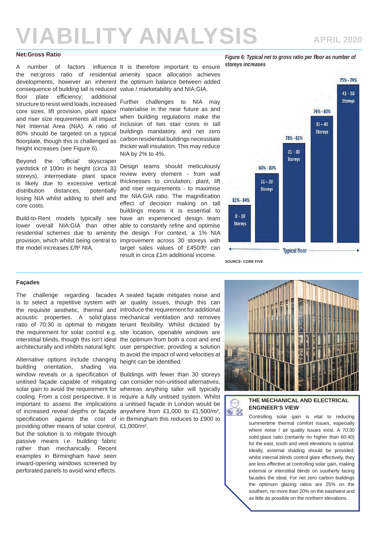#### **Net:Gross Ratio**

the net:gross ratio of residential amenity space allocation achieves developments, however an inherent the optimum balance between added consequence of building tall is reduced value / marketability and NIA:GIA. floor plate efficiency; additional structure to resist wind loads, increased Further challenges to NIA may core sizes, lift provision, plant space materialise in the near future as and and riser size requirements all impact Net Internal Area (NIA). A ratio of inclusion of two stair cores in tall 80% should be targeted on a typical buildings mandatory, and net zero floorplate, though this is challenged as carbon residential buildings necessitate height increases (see Figure 6).

Beyond the 'official' skyscraper yardstick of 100m in height (circa 33 storeys), intermediate plant space review every element - from wall is likely due to excessive vertical thicknesses to circulation, plant, lift distribution distances, potentially losing NIA whilst adding to shell and the NIA:GIA ratio. The magnification core costs.

Build-to-Rent models typically see have an experienced design team lower overall NIA:GIA than other able to constantly refine and optimise residential schemes due to amenity the design. For context, a 1% NIA provision, which whilst being central to improvement across 30 storeys with the model increases £/ft² NIA.

A number of factors influence It is therefore important to ensure

when building regulations make the thicker wall insulation. This may reduce NIA by 2% to 4%.

Design teams should meticulously potentially and riser requirements - to maximise effect of decision making on tall buildings means it is essential to target sales values of £450/ft<sup>2</sup> can result in circa £1m additional income.

*Figure 6: Typical net to gross ratio per floor as number of storeys increases*



#### **Façades**

is to select a repetitive system with air quality issues, though this can the requisite aesthetic, thermal and introduce the requirement for additional acoustic properties. A solid:glass mechanical ventilation and removes ratio of 70:30 is optimal to mitigate tenant flexibility. Whilst dictated by the requirement for solar control e.g. site location, openable windows are interstitial blinds, though this isn't ideal the optimum from both a cost and end architecturally and inhibits natural light. user perspective, providing a solution

Alternative options include changing height can be identified. building orientation, shading via providing other means of solar control, £1,000/m². but the solution is to mitigate through passive means i.e. building fabric rather than mechanically. Recent examples in Birmingham have seen inward-opening windows screened by perforated panels to avoid wind effects.

The challenge regarding facades A sealed façade mitigates noise and to avoid the impact of wind velocities at

window reveals or a specification of Buildings with fewer than 30 storeys unitised façade capable of mitigating can consider non-unitised alternatives, solar gain to avoid the requirement for whereas anything taller will typically cooling. From a cost perspective, it is require a fully unitised system. Whilst important to assess the implications a unitised façade in London would be of increased reveal depths or façade anywhere from £1,000 to £1,500/m², specification against the cost of in Birmingham this reduces to £900 to



### **THE MECHANICAL AND ELECTRICAL ENGINEER'S VIEW**

 $\circledast$ 

Controlling solar gain is vital to reducing summertime thermal comfort issues, especially where noise / air quality issues exist. A 70:30 solid:glass ratio (certainly no higher than 60:40) for the east, south and west elevations is optimal. Ideally, external shading should be provided; whilst internal blinds control glare effectively, they are less effective at controlling solar gain, making external or interstitial blinds on southerly facing facades the ideal. For net zero carbon buildings the optimum glazing ratios are 25% on the southern, no more than 20% on the east/west and as little as possible on the northern elevations.

### **APRIL 2020**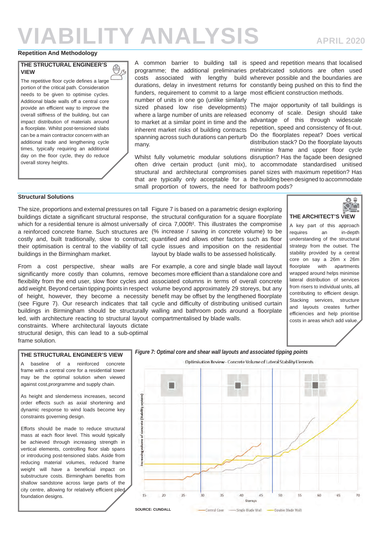B

### **Repetition And Methodology**

### **THE STRUCTURAL ENGINEER'S VIEW**

The repetitive floor cycle defines a large portion of the critical path. Consideration needs to be given to optimise cycles. Additional blade walls off a central core provide an efficient way to improve the overall stiffness of the building, but can impact distribution of materials around a floorplate. Whilst post-tensioned slabs can be a main contractor concern with an additional trade and lengthening cycle times, typically requiring an additional day on the floor cycle, they do reduce overall storey heights.

funders, requirement to commit to a large most efficient construction methods. number of units in one go (unlike similarly sized phased low rise developments) where a large number of units are released to market at a similar point in time and the inherent market risks of building contracts spanning across such durations can perturb many.

Whilst fully volumetric modular solutions disruption? Has the façade been designed often drive certain product (unit mix), to accommodate standardised unitised structural and architectural compromises panel sizes with maximum repetition? Has that are typically only acceptable for a the building been designed to accommodate small proportion of towers, the need for bathroom pods?

A common barrier to building tall is speed and repetition means that localised programme; the additional preliminaries prefabricated solutions are often used costs associated with lengthy build wherever possible and the boundaries are durations, delay in investment returns for constantly being pushed on this to find the

> The major opportunity of tall buildings is economy of scale. Design should take advantage of this through widescale repetition, speed and consistency of fit-out. Do the floorplates repeat? Does vertical distribution stack? Do the floorplate lavouts minimise frame and upper floor cycle

### **Structural Solutions**

buildings in the Birmingham market.

From a cost perspective, shear walls are For example, a core and single blade wall layout led, with architecture reacting to structural layout compartmentalised by blade walls. constraints. Where architectural layouts dictate structural design, this can lead to a sub-optimal frame solution.

The size, proportions and external pressures on tall Figure 7 is based on a parametric design exploring buildings dictate a significant structural response, the structural configuration for a square floorplate which for a residential tenure is almost universally of circa 7,000ft<sup>2</sup>. This illustrates the compromise a reinforced concrete frame. Such structures are (% increase / saving in concrete volume) to be costly and, built traditionally, slow to construct; quantified and allows other factors such as floor their optimisation is central to the viability of tall cycle issues and imposition on the residential layout by blade walls to be assessed holistically.

significantly more costly than columns, remove becomes more efficient than a standalone core and flexibility from the end user, slow floor cycles and associated columns in terms of overall concrete add weight. Beyond certain tipping points in respect volume beyond approximately 29 storeys, but any of height, however, they become a necessity benefit may be offset by the lengthened floorplate (see Figure 7). Our research indicates that tall cycle and difficulty of distributing unitised curtain buildings in Birmingham should be structurally walling and bathroom pods around a floorplate



### **THE ARCHITECT'S VIEW**

A key part of this approach requires an in-depth understanding of the structural strategy from the outset. The stability provided by a central core on say a 26m x 26m floorplate with apartments wrapped around helps minimise lateral distribution of services from risers to individual units, all contributing to efficient design. Stacking services, structure and layouts creates further efficiencies and help prioritise costs in areas which add value.

#### **THE STRUCTURAL ENGINEER'S VIEW**

A baseline of a reinforced concrete frame with a central core for a residential tower may be the optimal solution when viewed against cost,prorgramme and supply chain.

As height and slenderness increases, second order effects such as axial shortening and dynamic response to wind loads become key constraints governing design.

Efforts should be made to reduce structural mass at each floor level. This would typically be achieved through increasing strength in vertical elements, controlling floor slab spans or introducing post-tensioned slabs. Aside from reducing material volumes, reduced frame weight will have a beneficial impact on substructure costs. Birmingham benefits from shallow sandstone across large parts of the city centre, allowing for relatively efficient piled foundation designs.

*Figure 7: Optimal core and shear wall layouts and associated tipping points*

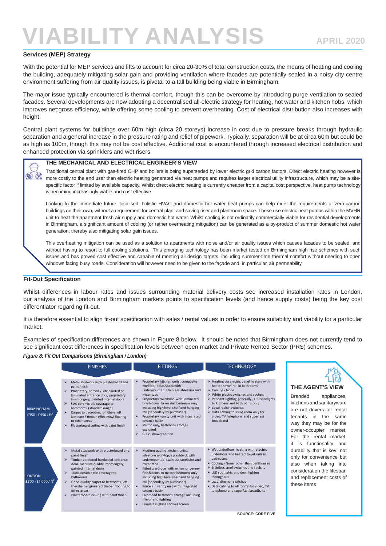### **Services (MEP) Strategy**

With the potential for MEP services and lifts to account for circa 20-30% of total construction costs, the means of heating and cooling the building, adequately mitigating solar gain and providing ventilation where facades are potentially sealed in a noisy city centre environment suffering from air quality issues, is pivotal to a tall building being viable in Birmingham.

The major issue typically encountered is thermal comfort, though this can be overcome by introducing purge ventilation to sealed facades. Several developments are now adopting a decentralised all-electric strategy for heating, hot water and kitchen hobs, which improves net:gross efficiency, while offering some cooling to prevent overheating. Cost of electrical distribution also increases with height.

Central plant systems for buildings over 60m high (circa 20 storeys) increase in cost due to pressure breaks through hydraulic separation and a general increase in the pressure rating and relief of pipework. Typically, separation will be at circa 60m but could be as high as 100m, though this may not be cost effective. Additional cost is encountered through increased electrical distribution and enhanced protection via sprinklers and wet risers.

#### **THE MECHANICAL AND ELECTRICAL ENGINEER'S VIEW**

Traditional central plant with gas-fired CHP and boilers is being superseded by lower electric grid carbon factors. Direct electric heating however is more costly to the end user than electric heating generated via heat pumps and requires larger electrical utility infrastructure, which may be a sitespecific factor if limited by available capacity. Whilst direct electric heating is currently cheaper from a capital cost perspective, heat pump technology is becoming increasingly viable and cost effective

Looking to the immediate future, localised, holistic HVAC and domestic hot water heat pumps can help meet the requirements of zero-carbon buildings on their own, without a requirement for central plant and saving riser and plantroom space. These use electric heat pumps within the MVHR unit to heat the apartment fresh air supply and domestic hot water. Whilst cooling is not ordinarily commercially viable for residential developments in Birmingham, a significant amount of cooling (or rather overheating mitigation) can be generated as a by-product of summer domestic hot water generation, thereby also mitigating solar gain issues.

This overheating mitigation can be used as a solution to apartments with noise and/or air quality issues which causes facades to be sealed, and without having to resort to full cooling solutions. This emerging technology has been market tested on Birmingham high rise schemes with such issues and has proved cost effective and capable of meeting all design targets, including summer-time thermal comfort without needing to open windows facing busy roads. Consideration will however need to be given to the façade and, in particular, air permeability.

### **Fit-Out Specification**

 $\circledast$ 

Whilst differences in labour rates and issues surrounding material delivery costs see increased installation rates in London, our analysis of the London and Birmingham markets points to specification levels (and hence supply costs) being the key cost differentiator regarding fit-out.

It is therefore essential to align fit-out specification with sales / rental values in order to ensure suitability and viability for a particular market.

Examples of specification differences are shown in Figure 8 below. It should be noted that Birmingham does not currently tend to see significant cost differences in specification levels between open market and Private Rented Sector (PRS) schemes.

*Figure 8: Fit Out Comparisons (Birmingham / London)*

|                                          | <b>FINISHES</b>                                                                                                                                                                                                                                                                                                                                                                                                                         | <b>FITTINGS</b>                                                                                                                                                                                                                                                                                                                                                                                                                                                                             | <b>TECHNOLOGY</b>                                                                                                                                                                                                                                                                                                                                                                                                                                  |
|------------------------------------------|-----------------------------------------------------------------------------------------------------------------------------------------------------------------------------------------------------------------------------------------------------------------------------------------------------------------------------------------------------------------------------------------------------------------------------------------|---------------------------------------------------------------------------------------------------------------------------------------------------------------------------------------------------------------------------------------------------------------------------------------------------------------------------------------------------------------------------------------------------------------------------------------------------------------------------------------------|----------------------------------------------------------------------------------------------------------------------------------------------------------------------------------------------------------------------------------------------------------------------------------------------------------------------------------------------------------------------------------------------------------------------------------------------------|
| <b>BIRMINGHAM</b><br>£350 - £450 / $ft2$ | Metal studwork with plasterboard and<br>⋗<br>paint finish<br>Proprietary primed / site painted or<br>laminated entrance door, proprietary<br>ironmongery, painted internal doors<br>50% ceramic tile coverage to<br>⋗<br>bathrooms (standard range)<br>Carpet to bedrooms, off-the-shelf<br>⋗<br>laminate / timber effect vinyl flooring<br>to other areas<br>⋗<br>Plasterboard ceiling with paint finish                               | Proprietary kitchen units, composite<br>⋗<br>worktop, splashback with<br>undermounted stainless steel sink and<br>mixer taps<br>Proprietary wardrobe with laminated<br>➤<br>finish doors to master bedroom only<br>including high level shelf and hanging<br>rail (secondary by purchaser)<br>Proprietary vanity unit with integrated<br>⋗<br>ceramic basin<br>Mirror only, bathroom storage<br>⋗<br>excluded<br>Glass shower screen<br>⋗                                                   | $\triangleright$ Heating via electric panel heaters with<br>heated towel rail in bathrooms<br>$\triangleright$ Cooling - None<br>$\triangleright$ White plastic switches and sockets<br>$\triangleright$ Pendant lighting generally, LED spotlights<br>to kitchens and bathrooms only<br>$\triangleright$ Local rocker switches<br>$\triangleright$ Data cabling to living room only for<br>video, TV, telephone and superfast<br>broadband        |
| <b>LONDON</b><br>£800 - £1,000 / $ft2$   | Metal studwork with plasterboard and<br>⋗<br>paint finish<br>$\triangleright$ Timber veneered hardwood entrance<br>door, medium quality ironmongery,<br>painted internal doors<br>100% ceramic tile coverage to<br>$\blacktriangleright$<br><b>bathrooms</b><br>$\blacktriangleright$<br>Good quality carpet to bedrooms, off-<br>the-shelf engineered timber flooring to<br>other areas<br>Plasterboard ceiling with paint finish<br>⋗ | Medium-quality kitchen units,<br>⋗<br>silestone worktop, splashback with<br>undermounted stainless steel sink and<br>mixer taps<br>Fitted wardrobe with mirror or veneer<br>$\blacktriangleright$<br>finish doors to master bedroom only<br>including high level shelf and hanging<br>rail (secondary by purchaser)<br>Porcelain vanity unit with integrated<br>⋗<br>ceramic basin<br>Overhead bathroom storage including<br>➤<br>mirror and lighting<br>Frameless glass shower screen<br>⋗ | $\triangleright$ Wet underfloor heating with electric<br>underfloor and heated towel rails in<br><b>bathrooms</b><br>$\triangleright$ Cooling - None, other than penthouses<br>$\triangleright$ Stainless steel switches and sockets<br>$\triangleright$ LED spotlights and downlighters<br>throughout<br>$\triangleright$ Local dimmer switches<br>$\triangleright$ Data cabling to all rooms for video, TV,<br>telephone and superfast broadband |



Branded appliances, kitchens and sanitaryware are not drivers for rental tenants in the same way they may be for the owner-occupier market. For the rental market, it is functionality and durability that is key; not only for convenience but also when taking into consideration the lifespan and replacement costs of these items

**SOURCE: CORE FIVE**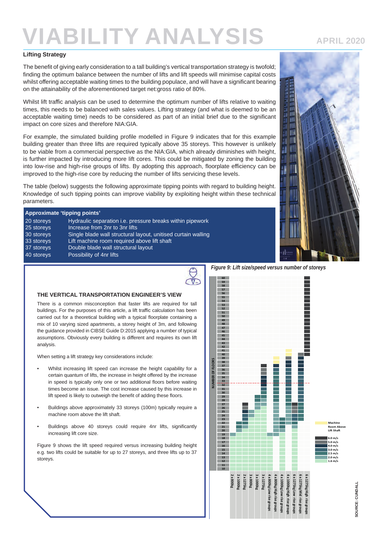### **Lifting Strategy**

The benefit of giving early consideration to a tall building's vertical transportation strategy is twofold; finding the optimum balance between the number of lifts and lift speeds will minimise capital costs whilst offering acceptable waiting times to the building populace, and will have a significant bearing on the attainability of the aforementioned target net:gross ratio of 80%.

Whilst lift traffic analysis can be used to determine the optimum number of lifts relative to waiting times, this needs to be balanced with sales values. Lifting strategy (and what is deemed to be an acceptable waiting time) needs to be considered as part of an initial brief due to the significant impact on core sizes and therefore NIA:GIA.

For example, the simulated building profile modelled in Figure 9 indicates that for this example building greater than three lifts are required typically above 35 storeys. This however is unlikely to be viable from a commercial perspective as the NIA:GIA, which already diminishes with height, is further impacted by introducing more lift cores. This could be mitigated by zoning the building into low-rise and high-rise groups of lifts. By adopting this approach, floorplate efficiency can be improved to the high-rise core by reducing the number of lifts servicing these levels.

The table (below) suggests the following approximate tipping points with regard to building height. Knowledge of such tipping points can improve viability by exploiting height within these technical parameters.

| Approximate 'tipping points' |                                                                  |  |  |
|------------------------------|------------------------------------------------------------------|--|--|
| 20 storeys                   | Hydraulic separation <i>i.e.</i> pressure breaks within pipework |  |  |
| 25 storeys                   | Increase from 2nr to 3nr lifts                                   |  |  |
| 30 storeys                   | Single blade wall structural layout, unitised curtain walling    |  |  |
| 33 storeys                   | Lift machine room required above lift shaft                      |  |  |
| 37 storeys                   | Double blade wall structural layout                              |  |  |
| 40 storeys                   | Possibility of 4nr lifts                                         |  |  |

#### **THE VERTICAL TRANSPORTATION ENGINEER'S VIEW**

There is a common misconception that faster lifts are required for tall buildings. For the purposes of this article, a lift traffic calculation has been carried out for a theoretical building with a typical floorplate containing a mix of 10 varying sized apartments, a storey height of 3m, and following the guidance provided in CIBSE Guide D:2015 applying a number of typical assumptions. Obviously every building is different and requires its own lift analysis.

When setting a lift strategy key considerations include:

- Whilst increasing lift speed can increase the height capability for a certain quantum of lifts, the increase in height offered by the increase in speed is typically only one or two additional floors before waiting times become an issue. The cost increase caused by this increase in lift speed is likely to outweigh the benefit of adding these floors.
- Buildings above approximately 33 storeys (100m) typically require a machine room above the lift shaft.
- Buildings above 40 storeys could require 4nr lifts, significantly increasing lift core size.

Figure 9 shows the lift speed required versus increasing building height e.g. two lifts could be suitable for up to 27 storeys, and three lifts up to 37 storeys.

*Figure 9: Lift size/speed versus number of storeys*





**APRIL 2020**

SOURCE: CUNDALL **SOURCE: CUNDALL**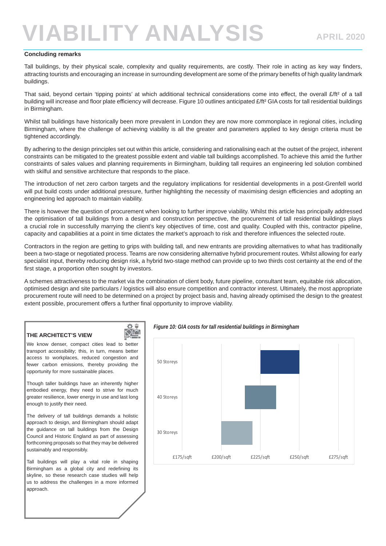#### **Concluding remarks**

Tall buildings, by their physical scale, complexity and quality requirements, are costly. Their role in acting as key way finders, attracting tourists and encouraging an increase in surrounding development are some of the primary benefits of high quality landmark buildings.

That said, beyond certain 'tipping points' at which additional technical considerations come into effect, the overall £/ft<sup>2</sup> of a tall building will increase and floor plate efficiency will decrease. Figure 10 outlines anticipated £/ft<sup>2</sup> GIA costs for tall residential buildings in Birmingham.

Whilst tall buildings have historically been more prevalent in London they are now more commonplace in regional cities, including Birmingham, where the challenge of achieving viability is all the greater and parameters applied to key design criteria must be tightened accordingly.

By adhering to the design principles set out within this article, considering and rationalising each at the outset of the project, inherent constraints can be mitigated to the greatest possible extent and viable tall buildings accomplished. To achieve this amid the further constraints of sales values and planning requirements in Birmingham, building tall requires an engineering led solution combined with skilful and sensitive architecture that responds to the place.

The introduction of net zero carbon targets and the regulatory implications for residential developments in a post-Grenfell world will put build costs under additional pressure, further highlighting the necessity of maximising design efficiencies and adopting an engineering led approach to maintain viability.

There is however the question of procurement when looking to further improve viability. Whilst this article has principally addressed the optimisation of tall buildings from a design and construction perspective, the procurement of tall residential buildings plays a crucial role in successfully marrying the client's key objectives of time, cost and quality. Coupled with this, contractor pipeline, capacity and capabilities at a point in time dictates the market's approach to risk and therefore influences the selected route.

Contractors in the region are getting to grips with building tall, and new entrants are providing alternatives to what has traditionally been a two-stage or negotiated process. Teams are now considering alternative hybrid procurement routes. Whilst allowing for early specialist input, thereby reducing design risk, a hybrid two-stage method can provide up to two thirds cost certainty at the end of the first stage, a proportion often sought by investors.

A schemes attractiveness to the market via the combination of client body, future pipeline, consultant team, equitable risk allocation, optimised design and site particulars / logistics will also ensure competition and contractor interest. Ultimately, the most appropriate procurement route will need to be determined on a project by project basis and, having already optimised the design to the greatest extent possible, procurement offers a further final opportunity to improve viability.

### **THE ARCHITECT'S VIEW**

We know denser, compact cities lead to better transport accessibility; this, in turn, means better access to workplaces, reduced congestion and fewer carbon emissions, thereby providing the opportunity for more sustainable places.

Òë ЮĹ

Though taller buildings have an inherently higher embodied energy, they need to strive for much greater resilience, lower energy in use and last long enough to justify their need.

The delivery of tall buildings demands a holistic approach to design, and Birmingham should adapt the guidance on tall buildings from the Design Council and Historic England as part of assessing forthcoming proposals so that they may be delivered sustainably and responsibly.

Tall buildings will play a vital role in shaping Birmingham as a global city and redefining its skyline, so these research case studies will help us to address the challenges in a more informed approach.

*Figure 10: GIA costs for tall residential buildings in Birmingham*